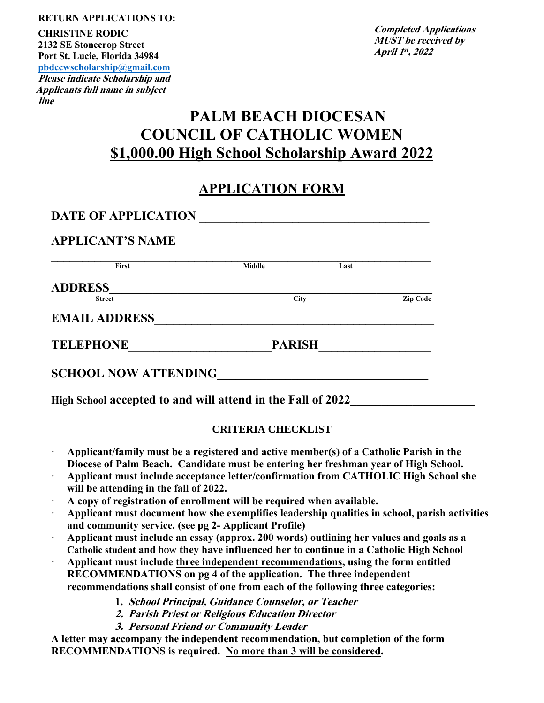#### **RETURN APPLICATIONS TO:**

 **Port St. Lucie, Florida 34984 CHRISTINE RODIC 2132 SE Stonecrop Street [pbdccwscholarship@gmail.com](mailto:pbdccwscholarship@gmail.com) Please indicate Scholarship and Applicants full name in subject line**

**Completed Applications MUST be received by April 1 st , 2022**

# **PALM BEACH DIOCESAN COUNCIL OF CATHOLIC WOMEN \$1,000.00 High School Scholarship Award 2022**

## **APPLICATION FORM**

| <b>APPLICANT'S NAME</b> |               |      |                 |  |
|-------------------------|---------------|------|-----------------|--|
| <b>First</b>            | <b>Middle</b> | Last |                 |  |
| <b>ADDRESS</b>          |               |      |                 |  |
| <b>Street</b>           | <b>City</b>   |      | <b>Zip Code</b> |  |
| <b>EMAIL ADDRESS</b>    |               |      |                 |  |
| <b>TELEPHONE</b>        | <b>PARISH</b> |      |                 |  |

**High School accepted to and will attend in the Fall of 2022\_\_\_\_\_\_\_\_\_\_\_\_\_\_\_\_\_\_\_\_**

#### **CRITERIA CHECKLIST**

- **· Applicant/family must be a registered and active member(s) of a Catholic Parish in the Diocese of Palm Beach. Candidate must be entering her freshman year of High School.**
- **· Applicant must include acceptance letter/confirmation from CATHOLIC High School she will be attending in the fall of 2022.**
- **· A copy of registration of enrollment will be required when available.**
- **· Applicant must document how she exemplifies leadership qualities in school, parish activities and community service. (see pg 2- Applicant Profile)**
- **· Applicant must include an essay (approx. 200 words) outlining her values and goals as a Catholic student and** how **they have influenced her to continue in a Catholic High School**
- **· Applicant must include three independent recommendations, using the form entitled RECOMMENDATIONS on pg 4 of the application. The three independent recommendations shall consist of one from each of the following three categories:** 
	- **1. School Principal, Guidance Counselor, or Teacher**
	- **2. Parish Priest or Religious Education Director**
	- **3. Personal Friend or Community Leader**

**A letter may accompany the independent recommendation, but completion of the form RECOMMENDATIONS is required. No more than 3 will be considered.**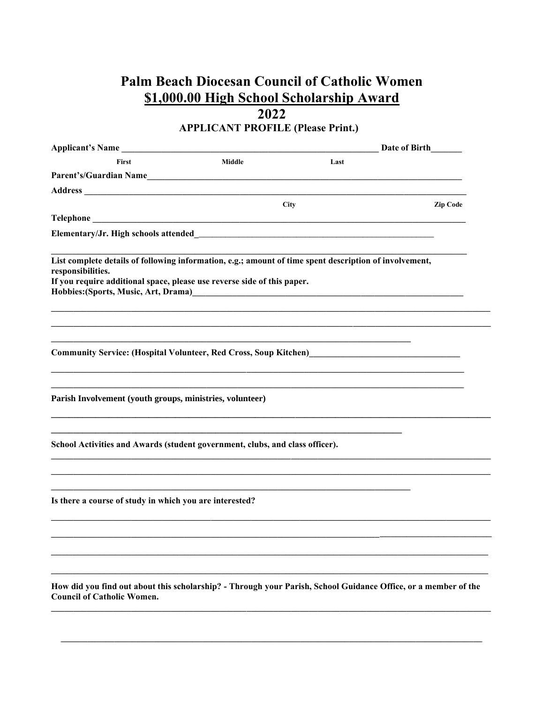## Palm Beach Diocesan Council of Catholic Women \$1,000.00 High School Scholarship Award

2022

**APPLICANT PROFILE (Please Print.)** 

|                                                                                                                                                                                                                                                |        | <b>Date of Birth</b>                                                   |                 |  |
|------------------------------------------------------------------------------------------------------------------------------------------------------------------------------------------------------------------------------------------------|--------|------------------------------------------------------------------------|-----------------|--|
| <b>First</b>                                                                                                                                                                                                                                   | Middle | Last                                                                   |                 |  |
|                                                                                                                                                                                                                                                |        |                                                                        |                 |  |
| Address <b>Executive Contract of the Contract of the Contract of the Contract of the Contract of the Contract of the Contract of the Contract of the Contract of the Contract of the Contract of the Contract of the Contract of</b>           |        |                                                                        |                 |  |
|                                                                                                                                                                                                                                                |        | <b>City</b>                                                            | <b>Zip Code</b> |  |
|                                                                                                                                                                                                                                                |        |                                                                        |                 |  |
|                                                                                                                                                                                                                                                |        |                                                                        |                 |  |
| List complete details of following information, e.g.; amount of time spent description of involvement,<br>responsibilities.<br>If you require additional space, please use reverse side of this paper.<br>Hobbies: (Sports, Music, Art, Drama) |        | <u> 1980 - Jan Samuel Barbara, margaret eta biztanleria (h. 1980).</u> |                 |  |
|                                                                                                                                                                                                                                                |        |                                                                        |                 |  |
| <b>Community Service: (Hospital Volunteer, Red Cross, Soup Kitchen)</b>                                                                                                                                                                        |        |                                                                        |                 |  |
| Parish Involvement (youth groups, ministries, volunteer)                                                                                                                                                                                       |        |                                                                        |                 |  |
| School Activities and Awards (student government, clubs, and class officer).                                                                                                                                                                   |        |                                                                        |                 |  |
| Is there a course of study in which you are interested?                                                                                                                                                                                        |        |                                                                        |                 |  |
|                                                                                                                                                                                                                                                |        |                                                                        |                 |  |
|                                                                                                                                                                                                                                                |        |                                                                        |                 |  |
| How did you find out about this scholarship? - Through your Parish, School Guidance Office, or a member of the<br><b>Council of Catholic Women.</b>                                                                                            |        |                                                                        |                 |  |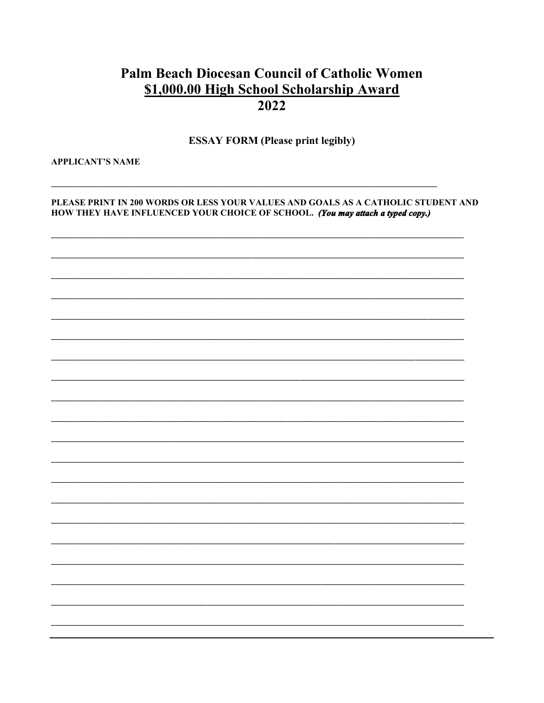## **Palm Beach Diocesan Council of Catholic Women** \$1,000.00 High School Scholarship Award 2022

**ESSAY FORM (Please print legibly)** 

**APPLICANT'S NAME** 

PLEASE PRINT IN 200 WORDS OR LESS YOUR VALUES AND GOALS AS A CATHOLIC STUDENT AND HOW THEY HAVE INFLUENCED YOUR CHOICE OF SCHOOL. (You may attach a typed copy.)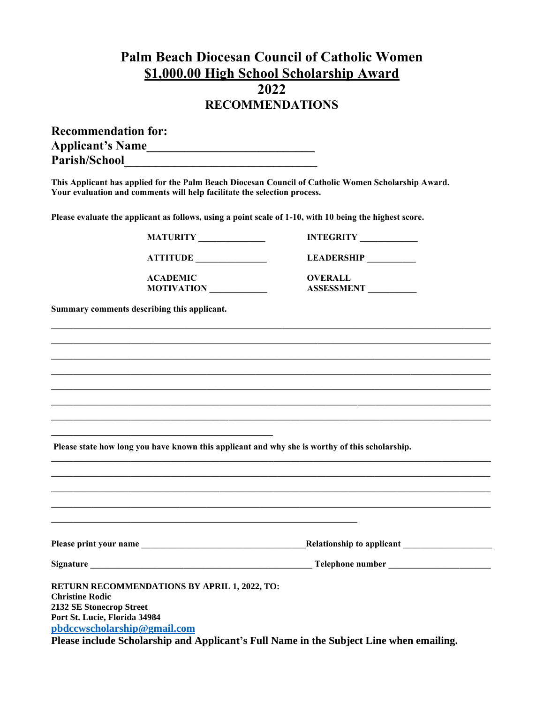#### **Palm Beach Diocesan Council of Catholic Women \$1,000.00 High School Scholarship Award 2022 RECOMMENDATIONS**

| <b>Recommendation for:</b> |  |
|----------------------------|--|
| <b>Applicant's Name</b>    |  |
| <b>Parish/School</b>       |  |

**This Applicant has applied for the Palm Beach Diocesan Council of Catholic Women Scholarship Award. Your evaluation and comments will help facilitate the selection process.**

**MATURITY \_\_\_\_\_\_\_\_\_\_\_\_\_\_\_ INTEGRITY \_\_\_\_\_\_\_\_\_\_\_\_\_**

**\_\_\_\_\_\_\_\_\_\_\_\_\_\_\_\_\_\_\_\_\_\_\_\_\_\_\_\_\_\_\_\_\_\_\_\_\_\_\_\_\_\_\_\_\_\_\_\_\_\_\_\_\_\_\_\_\_\_\_\_\_\_\_\_\_\_\_\_\_\_\_\_\_\_\_\_\_\_\_\_\_\_\_\_\_\_\_\_\_\_\_\_\_\_\_\_\_\_\_**  $\mathcal{L} = \{ \mathcal{L} = \{ \mathcal{L} = \{ \mathcal{L} = \{ \mathcal{L} = \{ \mathcal{L} = \{ \mathcal{L} = \{ \mathcal{L} = \{ \mathcal{L} = \{ \mathcal{L} = \{ \mathcal{L} = \{ \mathcal{L} = \{ \mathcal{L} = \{ \mathcal{L} = \{ \mathcal{L} = \{ \mathcal{L} = \{ \mathcal{L} = \{ \mathcal{L} = \{ \mathcal{L} = \{ \mathcal{L} = \{ \mathcal{L} = \{ \mathcal{L} = \{ \mathcal{L} = \{ \mathcal{L} = \{ \mathcal{$  $\mathcal{L} = \{ \mathcal{L} = \{ \mathcal{L} = \{ \mathcal{L} = \{ \mathcal{L} = \{ \mathcal{L} = \{ \mathcal{L} = \{ \mathcal{L} = \{ \mathcal{L} = \{ \mathcal{L} = \{ \mathcal{L} = \{ \mathcal{L} = \{ \mathcal{L} = \{ \mathcal{L} = \{ \mathcal{L} = \{ \mathcal{L} = \{ \mathcal{L} = \{ \mathcal{L} = \{ \mathcal{L} = \{ \mathcal{L} = \{ \mathcal{L} = \{ \mathcal{L} = \{ \mathcal{L} = \{ \mathcal{L} = \{ \mathcal{$  $\mathcal{L} = \{ \mathcal{L} = \{ \mathcal{L} = \{ \mathcal{L} = \{ \mathcal{L} = \{ \mathcal{L} = \{ \mathcal{L} = \{ \mathcal{L} = \{ \mathcal{L} = \{ \mathcal{L} = \{ \mathcal{L} = \{ \mathcal{L} = \{ \mathcal{L} = \{ \mathcal{L} = \{ \mathcal{L} = \{ \mathcal{L} = \{ \mathcal{L} = \{ \mathcal{L} = \{ \mathcal{L} = \{ \mathcal{L} = \{ \mathcal{L} = \{ \mathcal{L} = \{ \mathcal{L} = \{ \mathcal{L} = \{ \mathcal{$ **\_\_\_\_\_\_\_\_\_\_\_\_\_\_\_\_\_\_\_\_\_\_\_\_\_\_\_\_\_\_\_\_\_\_\_\_\_\_\_\_\_\_\_\_\_\_\_\_\_\_\_\_\_\_\_\_\_\_\_\_\_\_\_\_\_\_\_\_\_\_\_\_\_\_\_\_\_\_\_\_\_\_\_\_\_\_\_\_\_\_\_\_\_\_\_\_\_\_\_**  $\mathcal{L} = \{ \mathcal{L} = \{ \mathcal{L} = \{ \mathcal{L} = \{ \mathcal{L} = \{ \mathcal{L} = \{ \mathcal{L} = \{ \mathcal{L} = \{ \mathcal{L} = \{ \mathcal{L} = \{ \mathcal{L} = \{ \mathcal{L} = \{ \mathcal{L} = \{ \mathcal{L} = \{ \mathcal{L} = \{ \mathcal{L} = \{ \mathcal{L} = \{ \mathcal{L} = \{ \mathcal{L} = \{ \mathcal{L} = \{ \mathcal{L} = \{ \mathcal{L} = \{ \mathcal{L} = \{ \mathcal{L} = \{ \mathcal{$  $\mathcal{L} = \{ \mathcal{L} = \{ \mathcal{L} = \{ \mathcal{L} = \{ \mathcal{L} = \{ \mathcal{L} = \{ \mathcal{L} = \{ \mathcal{L} = \{ \mathcal{L} = \{ \mathcal{L} = \{ \mathcal{L} = \{ \mathcal{L} = \{ \mathcal{L} = \{ \mathcal{L} = \{ \mathcal{L} = \{ \mathcal{L} = \{ \mathcal{L} = \{ \mathcal{L} = \{ \mathcal{L} = \{ \mathcal{L} = \{ \mathcal{L} = \{ \mathcal{L} = \{ \mathcal{L} = \{ \mathcal{L} = \{ \mathcal{$ 

**Please evaluate the applicant as follows, using a point scale of 1-10, with 10 being the highest score.** 

**ACADEMIC OVERALL**

**\_\_\_\_\_\_\_\_\_\_\_\_\_\_\_\_\_\_\_\_\_\_\_\_\_\_\_\_\_\_\_\_\_\_\_\_\_\_\_\_\_\_\_\_\_\_\_\_\_\_**

**ATTITUDE \_\_\_\_\_\_\_\_\_\_\_\_\_\_\_\_ LEADERSHIP \_\_\_\_\_\_\_\_\_\_\_**

 **MOTIVATION \_\_\_\_\_\_\_\_\_\_\_\_\_ ASSESSMENT \_\_\_\_\_\_\_\_\_\_\_**

**Summary comments describing this applicant.** 

**Please state how long you have known this applicant and why she is worthy of this scholarship.**

**Please print your name \_\_\_\_\_\_\_\_\_\_\_\_\_\_\_\_\_\_\_\_\_\_\_\_\_\_\_\_\_\_\_\_\_\_\_\_\_Relationship to applicant \_\_\_\_\_\_\_\_\_\_\_\_\_\_\_\_\_\_\_\_ Signature \_\_\_\_\_\_\_\_\_\_\_\_\_\_\_\_\_\_\_\_\_\_\_\_\_\_\_\_\_\_\_\_\_\_\_\_\_\_\_\_\_\_\_\_\_\_\_\_\_\_ Telephone number \_\_\_\_\_\_\_\_\_\_\_\_\_\_\_\_\_\_\_\_\_\_\_ RETURN RECOMMENDATIONS BY APRIL 1, 2022, TO: Christine Rodic 2132 SE Stonecrop Street Port St. Lucie, Florida 34984 [pbdccwscholarship@gmail.com](mailto:pbdccwscholarship@gmail.com)**

**Please include Scholarship and Applicant's Full Name in the Subject Line when emailing.**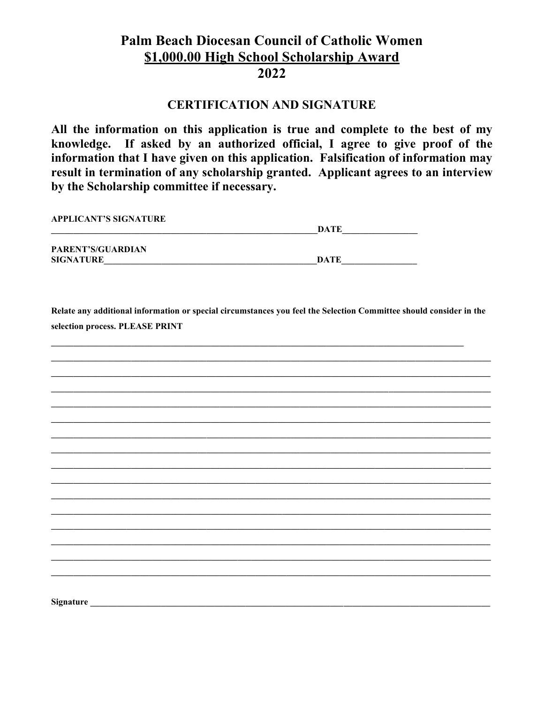### **Palm Beach Diocesan Council of Catholic Women** \$1,000.00 High School Scholarship Award 2022

#### **CERTIFICATION AND SIGNATURE**

All the information on this application is true and complete to the best of my knowledge. If asked by an authorized official, I agree to give proof of the information that I have given on this application. Falsification of information may result in termination of any scholarship granted. Applicant agrees to an interview by the Scholarship committee if necessary.

| ALLERNI S SKRATUNE       | DATE |  |
|--------------------------|------|--|
| <b>PARENT'S/GUARDIAN</b> |      |  |
| <b>SIGNATURE</b>         | DATE |  |

Relate any additional information or special circumstances you feel the Selection Committee should consider in the selection process. PLEASE PRINT

**Signature** Signature and Signature and Signature and Signature and Signature and Signature and Signature and Signature and Signature and Signature and Signature and Signature and Signature and Signature and Signature and

A DDI LCA MTIC CLCNA THDE